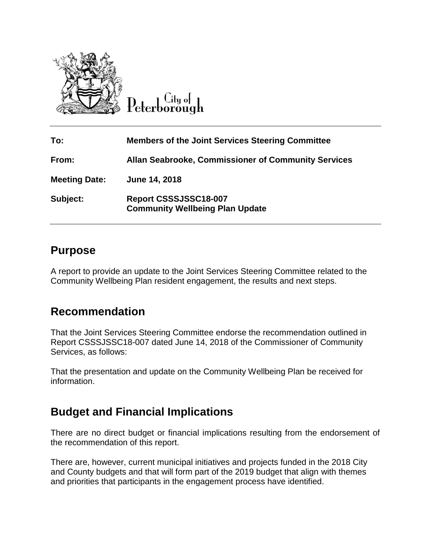

 $C$ ity of

| To:                  | <b>Members of the Joint Services Steering Committee</b>         |
|----------------------|-----------------------------------------------------------------|
| From:                | <b>Allan Seabrooke, Commissioner of Community Services</b>      |
| <b>Meeting Date:</b> | June 14, 2018                                                   |
| Subject:             | Report CSSSJSSC18-007<br><b>Community Wellbeing Plan Update</b> |

## **Purpose**

A report to provide an update to the Joint Services Steering Committee related to the Community Wellbeing Plan resident engagement, the results and next steps.

# **Recommendation**

That the Joint Services Steering Committee endorse the recommendation outlined in Report CSSSJSSC18-007 dated June 14, 2018 of the Commissioner of Community Services, as follows:

That the presentation and update on the Community Wellbeing Plan be received for information.

# **Budget and Financial Implications**

There are no direct budget or financial implications resulting from the endorsement of the recommendation of this report.

There are, however, current municipal initiatives and projects funded in the 2018 City and County budgets and that will form part of the 2019 budget that align with themes and priorities that participants in the engagement process have identified.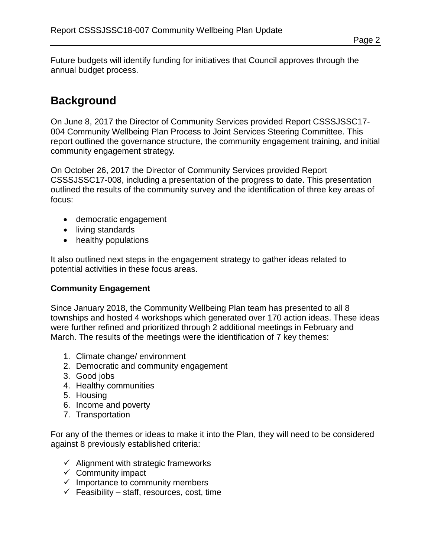Future budgets will identify funding for initiatives that Council approves through the annual budget process.

# **Background**

On June 8, 2017 the Director of Community Services provided Report CSSSJSSC17- 004 Community Wellbeing Plan Process to Joint Services Steering Committee. This report outlined the governance structure, the community engagement training, and initial community engagement strategy.

On October 26, 2017 the Director of Community Services provided Report CSSSJSSC17-008, including a presentation of the progress to date. This presentation outlined the results of the community survey and the identification of three key areas of focus:

- democratic engagement
- living standards
- healthy populations

It also outlined next steps in the engagement strategy to gather ideas related to potential activities in these focus areas.

### **Community Engagement**

Since January 2018, the Community Wellbeing Plan team has presented to all 8 townships and hosted 4 workshops which generated over 170 action ideas. These ideas were further refined and prioritized through 2 additional meetings in February and March. The results of the meetings were the identification of 7 key themes:

- 1. Climate change/ environment
- 2. Democratic and community engagement
- 3. Good jobs
- 4. Healthy communities
- 5. Housing
- 6. Income and poverty
- 7. Transportation

For any of the themes or ideas to make it into the Plan, they will need to be considered against 8 previously established criteria:

- $\checkmark$  Alignment with strategic frameworks
- $\checkmark$  Community impact
- $\checkmark$  Importance to community members
- $\checkmark$  Feasibility staff, resources, cost, time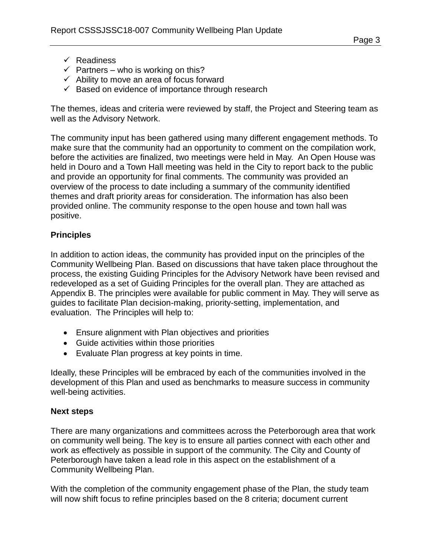- $\checkmark$  Readiness
- $\checkmark$  Partners who is working on this?
- $\checkmark$  Ability to move an area of focus forward
- $\checkmark$  Based on evidence of importance through research

The themes, ideas and criteria were reviewed by staff, the Project and Steering team as well as the Advisory Network.

The community input has been gathered using many different engagement methods. To make sure that the community had an opportunity to comment on the compilation work, before the activities are finalized, two meetings were held in May. An Open House was held in Douro and a Town Hall meeting was held in the City to report back to the public and provide an opportunity for final comments. The community was provided an overview of the process to date including a summary of the community identified themes and draft priority areas for consideration. The information has also been provided online. The community response to the open house and town hall was positive.

### **Principles**

In addition to action ideas, the community has provided input on the principles of the Community Wellbeing Plan. Based on discussions that have taken place throughout the process, the existing Guiding Principles for the Advisory Network have been revised and redeveloped as a set of Guiding Principles for the overall plan. They are attached as Appendix B. The principles were available for public comment in May. They will serve as guides to facilitate Plan decision-making, priority-setting, implementation, and evaluation. The Principles will help to:

- Ensure alignment with Plan objectives and priorities
- Guide activities within those priorities
- Evaluate Plan progress at key points in time.

Ideally, these Principles will be embraced by each of the communities involved in the development of this Plan and used as benchmarks to measure success in community well-being activities.

#### **Next steps**

There are many organizations and committees across the Peterborough area that work on community well being. The key is to ensure all parties connect with each other and work as effectively as possible in support of the community. The City and County of Peterborough have taken a lead role in this aspect on the establishment of a Community Wellbeing Plan.

With the completion of the community engagement phase of the Plan, the study team will now shift focus to refine principles based on the 8 criteria; document current